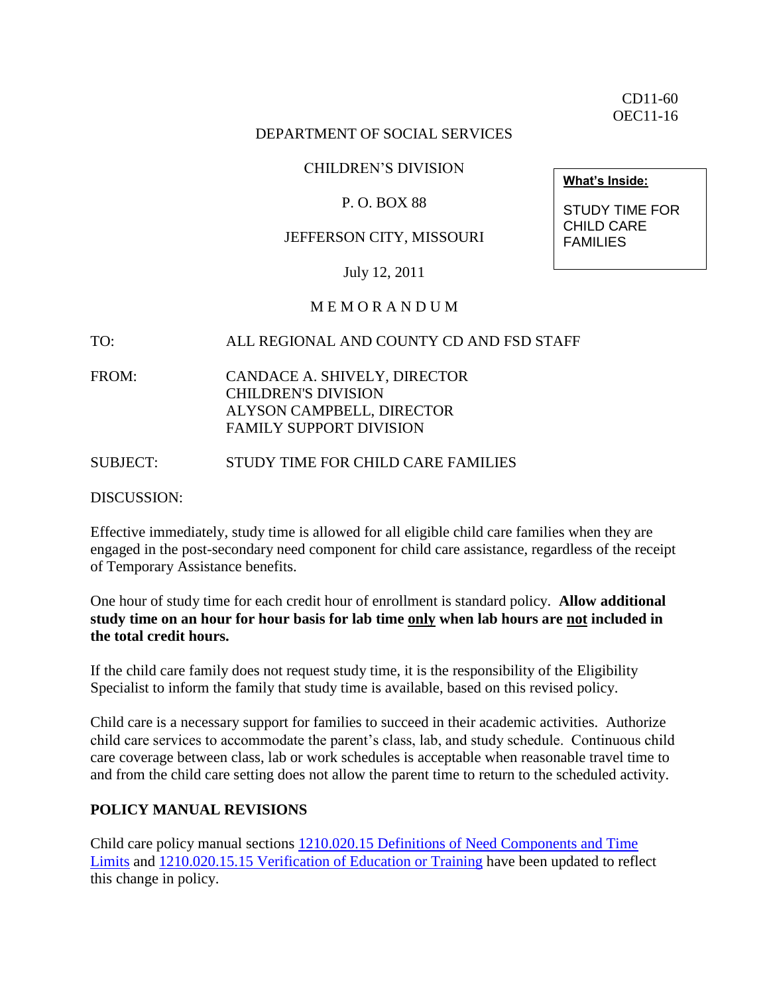CD11-60 OEC11-16

### DEPARTMENT OF SOCIAL SERVICES

### CHILDREN'S DIVISION

### P. O. BOX 88

### JEFFERSON CITY, MISSOURI

July 12, 2011

### M E M O R A N D U M

#### TO: ALL REGIONAL AND COUNTY CD AND FSD STAFF

FROM: CANDACE A. SHIVELY, DIRECTOR CHILDREN'S DIVISION ALYSON CAMPBELL, DIRECTOR FAMILY SUPPORT DIVISION

#### SUBJECT: STUDY TIME FOR CHILD CARE FAMILIES

DISCUSSION:

Effective immediately, study time is allowed for all eligible child care families when they are engaged in the post-secondary need component for child care assistance, regardless of the receipt of Temporary Assistance benefits.

One hour of study time for each credit hour of enrollment is standard policy. **Allow additional study time on an hour for hour basis for lab time only when lab hours are not included in the total credit hours.**

If the child care family does not request study time, it is the responsibility of the Eligibility Specialist to inform the family that study time is available, based on this revised policy.

Child care is a necessary support for families to succeed in their academic activities. Authorize child care services to accommodate the parent's class, lab, and study schedule. Continuous child care coverage between class, lab or work schedules is acceptable when reasonable travel time to and from the child care setting does not allow the parent time to return to the scheduled activity.

### **POLICY MANUAL REVISIONS**

Child care policy manual sections [1210.020.15 Definitions of Need Components and Time](http://dssweb/fsd/manual/chldcare/1210-020-15.html)  [Limits](http://dssweb/fsd/manual/chldcare/1210-020-15.html) and [1210.020.15.15 Verification of Education or Training](http://dssweb/fsd/manual/chldcare/1210-020-15-05_1210-020-15-15.html#1210.020.15.15) have been updated to reflect this change in policy.

**What's Inside:**

STUDY TIME FOR CHILD CARE **FAMILIES**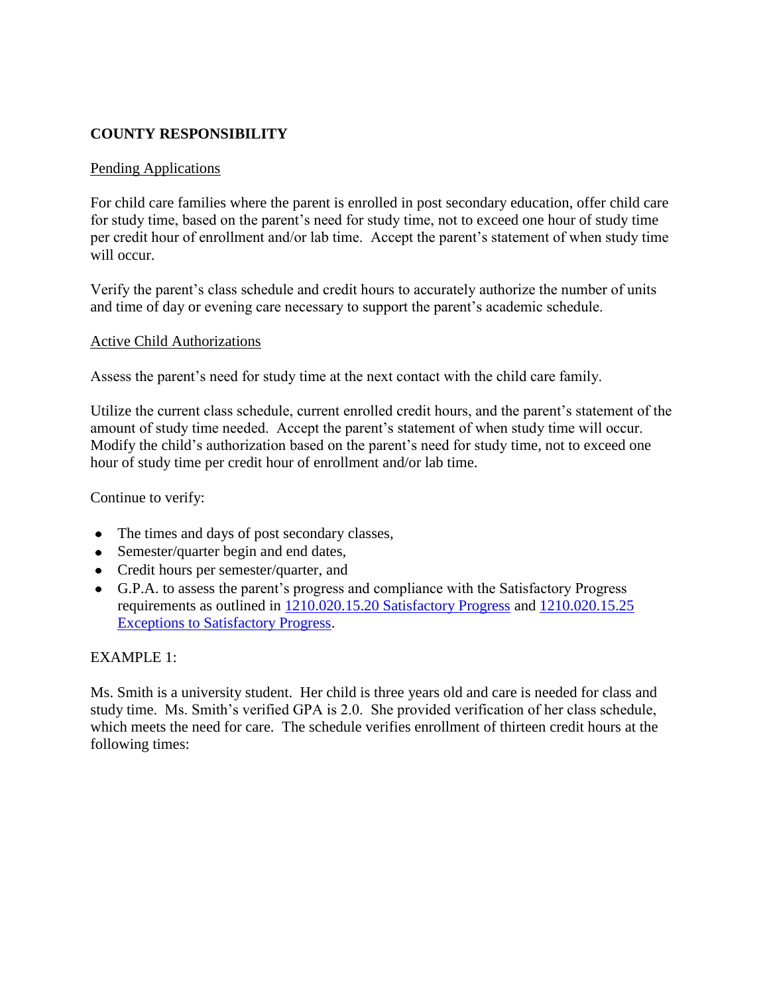## **COUNTY RESPONSIBILITY**

### Pending Applications

For child care families where the parent is enrolled in post secondary education, offer child care for study time, based on the parent's need for study time, not to exceed one hour of study time per credit hour of enrollment and/or lab time. Accept the parent's statement of when study time will occur.

Verify the parent's class schedule and credit hours to accurately authorize the number of units and time of day or evening care necessary to support the parent's academic schedule.

### Active Child Authorizations

Assess the parent's need for study time at the next contact with the child care family.

Utilize the current class schedule, current enrolled credit hours, and the parent's statement of the amount of study time needed. Accept the parent's statement of when study time will occur. Modify the child's authorization based on the parent's need for study time, not to exceed one hour of study time per credit hour of enrollment and/or lab time.

Continue to verify:

- The times and days of post secondary classes,
- Semester/quarter begin and end dates,
- Credit hours per semester/quarter, and
- G.P.A. to assess the parent's progress and compliance with the Satisfactory Progress requirements as outlined in [1210.020.15.20 Satisfactory Progress](http://dssweb/fsd/manual/chldcare/1210-020-15-20_1210-020-15-25.html#1210.020.15.20) and [1210.020.15.25](http://dssweb/fsd/manual/chldcare/1210-020-15-20_1210-020-15-25.html#1210.020.15.25)  [Exceptions to Satisfactory Progress.](http://dssweb/fsd/manual/chldcare/1210-020-15-20_1210-020-15-25.html#1210.020.15.25)

## EXAMPLE 1:

Ms. Smith is a university student. Her child is three years old and care is needed for class and study time. Ms. Smith's verified GPA is 2.0. She provided verification of her class schedule, which meets the need for care. The schedule verifies enrollment of thirteen credit hours at the following times: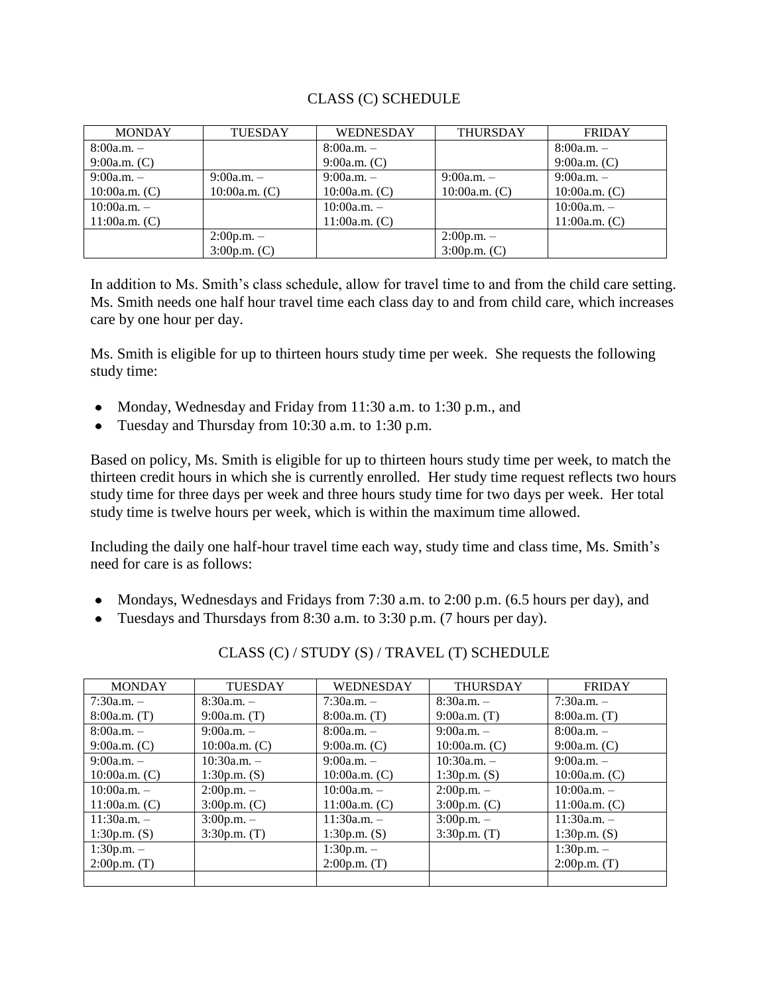### CLASS (C) SCHEDULE

| <b>MONDAY</b>   | <b>TUESDAY</b>  | <b>WEDNESDAY</b> | <b>THURSDAY</b> | <b>FRIDAY</b>   |
|-----------------|-----------------|------------------|-----------------|-----------------|
| $8:00a.m. -$    |                 | $8:00a.m. -$     |                 | $8:00a.m. -$    |
| 9:00a.m. (C)    |                 | 9:00a.m. (C)     |                 | $9:00a.m.$ (C)  |
| $9:00a.m. -$    | $9:00a.m. -$    | $9:00a.m. -$     | $9:00a.m. -$    | $9:00a.m. -$    |
| 10:00a.m. $(C)$ | $10:00a.m.$ (C) | $10:00a.m.$ (C)  | $10:00a.m.$ (C) | $10:00a.m.$ (C) |
| $10:00a.m. -$   |                 | $10:00a.m. -$    |                 | $10:00a.m. -$   |
| 11:00a.m. $(C)$ |                 | 11:00a.m. $(C)$  |                 | $11:00a.m.$ (C) |
|                 | $2:00p.m. -$    |                  | $2:00p.m. -$    |                 |
|                 | 3:00p.m. (C)    |                  | $3:00p.m.$ (C)  |                 |

In addition to Ms. Smith's class schedule, allow for travel time to and from the child care setting. Ms. Smith needs one half hour travel time each class day to and from child care, which increases care by one hour per day.

Ms. Smith is eligible for up to thirteen hours study time per week. She requests the following study time:

- Monday, Wednesday and Friday from 11:30 a.m. to 1:30 p.m., and
- Tuesday and Thursday from 10:30 a.m. to 1:30 p.m.

Based on policy, Ms. Smith is eligible for up to thirteen hours study time per week, to match the thirteen credit hours in which she is currently enrolled. Her study time request reflects two hours study time for three days per week and three hours study time for two days per week. Her total study time is twelve hours per week, which is within the maximum time allowed.

Including the daily one half-hour travel time each way, study time and class time, Ms. Smith's need for care is as follows:

- Mondays, Wednesdays and Fridays from 7:30 a.m. to 2:00 p.m. (6.5 hours per day), and
- Tuesdays and Thursdays from 8:30 a.m. to 3:30 p.m. (7 hours per day).

| <b>MONDAY</b>   | <b>TUESDAY</b>  | WEDNESDAY       | <b>THURSDAY</b> | <b>FRIDAY</b>   |
|-----------------|-----------------|-----------------|-----------------|-----------------|
| $7:30a.m. -$    | $8:30a.m. -$    | $7:30a.m. -$    | $8:30a.m. -$    | $7:30a.m. -$    |
| $8:00a.m.$ (T)  | $9:00a.m.$ (T)  | $8:00a.m.$ (T)  | $9:00a.m.$ (T)  | $8:00a.m.$ (T)  |
| $8:00a.m. -$    | $9:00a.m. -$    | $8:00a.m. -$    | $9:00a.m. -$    | $8:00a.m. -$    |
| $9:00a.m.$ (C)  | $10:00a.m.$ (C) | $9:00a.m.$ (C)  | $10:00a.m.$ (C) | $9:00a.m.$ (C)  |
| $9:00a.m. -$    | $10:30a.m. -$   | $9:00a.m. -$    | $10:30a.m. -$   | $9:00a.m. -$    |
| $10:00a.m.$ (C) | 1:30p.m. (S)    | $10:00a.m.$ (C) | 1:30p.m. (S)    | $10:00a.m.$ (C) |
| $10:00a.m. -$   | $2:00p.m. -$    | $10:00a.m. -$   | $2:00p.m. -$    | $10:00a.m. -$   |
| 11:00a.m. (C)   | 3:00p.m. (C)    | 11:00a.m. $(C)$ | 3:00p.m. (C)    | 11:00a.m. $(C)$ |
| $11:30a.m. -$   | $3:00p.m. -$    | $11:30a.m. -$   | $3:00p.m. -$    | $11:30a.m. -$   |
| 1:30 $p.m.$ (S) | 3:30p.m. (T)    | 1:30p.m. $(S)$  | 3:30p.m. (T)    | 1:30p.m. $(S)$  |
| $1:30p.m. -$    |                 | $1:30p.m. -$    |                 | $1:30p.m. -$    |
| 2:00p.m. (T)    |                 | 2:00p.m. (T)    |                 | $2:00p.m.$ (T)  |
|                 |                 |                 |                 |                 |

CLASS (C) / STUDY (S) / TRAVEL (T) SCHEDULE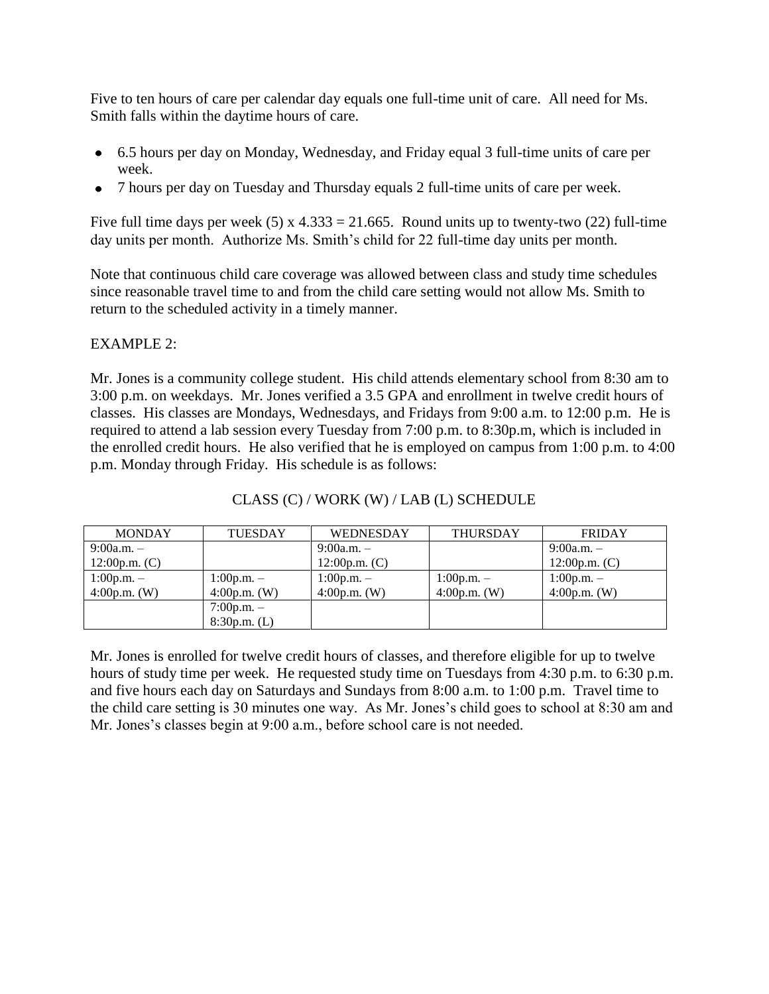Five to ten hours of care per calendar day equals one full-time unit of care. All need for Ms. Smith falls within the daytime hours of care.

- 6.5 hours per day on Monday, Wednesday, and Friday equal 3 full-time units of care per week.
- 7 hours per day on Tuesday and Thursday equals 2 full-time units of care per week.

Five full time days per week (5) x  $4.333 = 21.665$ . Round units up to twenty-two (22) full-time day units per month. Authorize Ms. Smith's child for 22 full-time day units per month.

Note that continuous child care coverage was allowed between class and study time schedules since reasonable travel time to and from the child care setting would not allow Ms. Smith to return to the scheduled activity in a timely manner.

## EXAMPLE 2:

Mr. Jones is a community college student. His child attends elementary school from 8:30 am to 3:00 p.m. on weekdays. Mr. Jones verified a 3.5 GPA and enrollment in twelve credit hours of classes. His classes are Mondays, Wednesdays, and Fridays from 9:00 a.m. to 12:00 p.m. He is required to attend a lab session every Tuesday from 7:00 p.m. to 8:30p.m, which is included in the enrolled credit hours. He also verified that he is employed on campus from 1:00 p.m. to 4:00 p.m. Monday through Friday. His schedule is as follows:

| <b>MONDAY</b>  | <b>TUESDAY</b> | <b>THURSDAY</b><br>WEDNESDAY |                | <b>FRIDAY</b>   |
|----------------|----------------|------------------------------|----------------|-----------------|
| $9:00a.m. -$   |                | $9:00a.m. -$                 |                | $9:00a.m. -$    |
| 12:00p.m. (C)  |                | 12:00p.m. (C)                |                | $12:00p.m.$ (C) |
| $1:00p.m. -$   | $1:00p.m. -$   | $1:00p.m. -$                 | $1:00p.m. -$   | $1:00p.m. -$    |
| $4:00p.m.$ (W) | 4:00p.m. $(W)$ | $4:00p.m.$ (W)               | $4:00p.m.$ (W) | $4:00p.m.$ (W)  |
|                | $7:00p.m. -$   |                              |                |                 |
|                | 8:30p.m. (L)   |                              |                |                 |

## CLASS (C) / WORK (W) / LAB (L) SCHEDULE

Mr. Jones is enrolled for twelve credit hours of classes, and therefore eligible for up to twelve hours of study time per week. He requested study time on Tuesdays from 4:30 p.m. to 6:30 p.m. and five hours each day on Saturdays and Sundays from 8:00 a.m. to 1:00 p.m. Travel time to the child care setting is 30 minutes one way. As Mr. Jones's child goes to school at 8:30 am and Mr. Jones's classes begin at 9:00 a.m., before school care is not needed.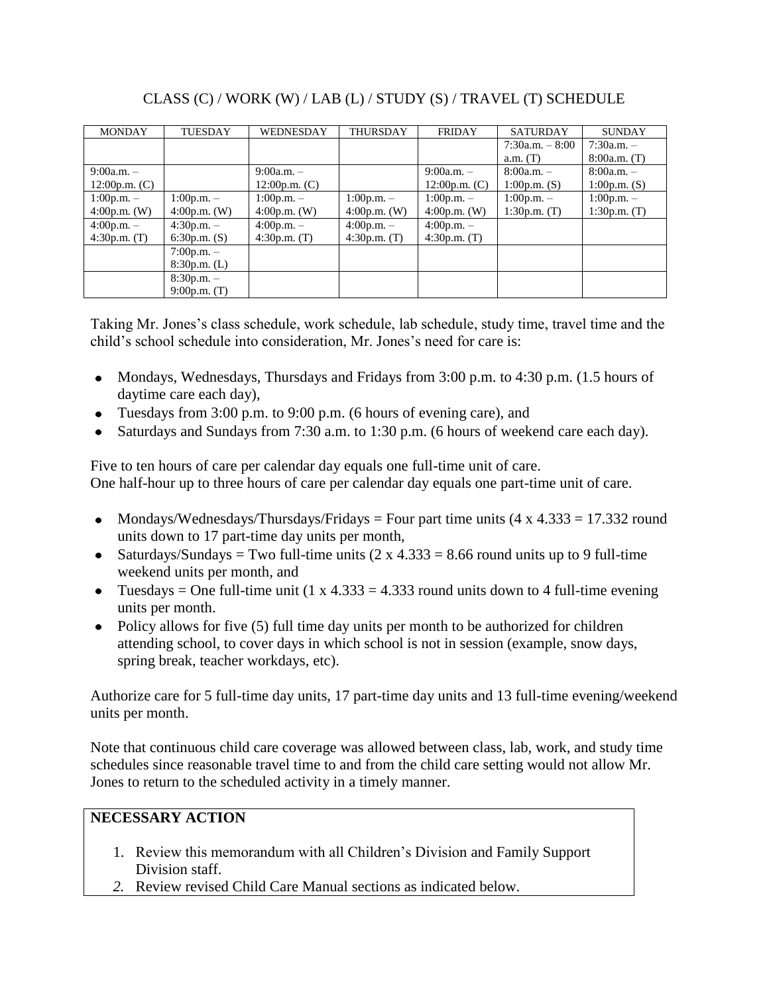| <b>MONDAY</b>   | <b>TUESDAY</b> | WEDNESDAY       | <b>THURSDAY</b> | <b>FRIDAY</b>    | <b>SATURDAY</b>   | <b>SUNDAY</b>   |
|-----------------|----------------|-----------------|-----------------|------------------|-------------------|-----------------|
|                 |                |                 |                 |                  | $7:30a.m. - 8:00$ | $7:30a.m. -$    |
|                 |                |                 |                 |                  | $a.m.$ (T)        | $8:00a.m.$ (T)  |
| $9:00a.m. -$    |                | $9:00a.m. -$    |                 | $9:00a.m. -$     | $8:00a.m. -$      | $8:00a.m. -$    |
| 12:00p.m. $(C)$ |                | 12:00p.m. $(C)$ |                 | 12:00 $p.m.$ (C) | 1:00p.m. (S)      | 1:00 $p.m.$ (S) |
| $1:00p.m. -$    | $1:00p.m. -$   | $1:00p.m. -$    | $1:00p.m. -$    | $1:00p.m. -$     | $1:00p.m. -$      | $1:00p.m. -$    |
| $4:00p.m.$ (W)  | $4:00p.m.$ (W) | $4:00p.m.$ (W)  | $4:00p.m.$ (W)  | $4:00p.m.$ (W)   | 1:30p.m. (T)      | 1:30p.m. (T)    |
| $4:00p.m. -$    | $4:30p.m. -$   | $4:00p.m. -$    | $4:00p.m. -$    | $4:00p.m. -$     |                   |                 |
| 4:30p.m. (T)    | 6:30p.m. (S)   | 4:30p.m. $(T)$  | 4:30p.m. (T)    | 4:30p.m. (T)     |                   |                 |
|                 | $7:00p.m. -$   |                 |                 |                  |                   |                 |
|                 | 8:30p.m. (L)   |                 |                 |                  |                   |                 |
|                 | $8:30p.m. -$   |                 |                 |                  |                   |                 |
|                 | $9:00p.m.$ (T) |                 |                 |                  |                   |                 |

# CLASS (C) / WORK (W) / LAB (L) / STUDY (S) / TRAVEL (T) SCHEDULE

Taking Mr. Jones's class schedule, work schedule, lab schedule, study time, travel time and the child's school schedule into consideration, Mr. Jones's need for care is:

- Mondays, Wednesdays, Thursdays and Fridays from 3:00 p.m. to 4:30 p.m. (1.5 hours of daytime care each day),
- Tuesdays from 3:00 p.m. to 9:00 p.m. (6 hours of evening care), and
- Saturdays and Sundays from 7:30 a.m. to 1:30 p.m. (6 hours of weekend care each day).  $\bullet$

Five to ten hours of care per calendar day equals one full-time unit of care. One half-hour up to three hours of care per calendar day equals one part-time unit of care.

- Mondays/Wednesdays/Thursdays/Fridays = Four part time units  $(4 \times 4.333 = 17.332$  round units down to 17 part-time day units per month,
- Saturdays/Sundays = Two full-time units  $(2 \times 4.333 = 8.66$  round units up to 9 full-time weekend units per month, and
- Tuesdays = One full-time unit  $(1 \times 4.333 = 4.333$  round units down to 4 full-time evening units per month.
- Policy allows for five (5) full time day units per month to be authorized for children attending school, to cover days in which school is not in session (example, snow days, spring break, teacher workdays, etc).

Authorize care for 5 full-time day units, 17 part-time day units and 13 full-time evening/weekend units per month.

Note that continuous child care coverage was allowed between class, lab, work, and study time schedules since reasonable travel time to and from the child care setting would not allow Mr. Jones to return to the scheduled activity in a timely manner.

# **NECESSARY ACTION**

- 1. Review this memorandum with all Children's Division and Family Support Division staff.
- *2.* Review revised Child Care Manual sections as indicated below.